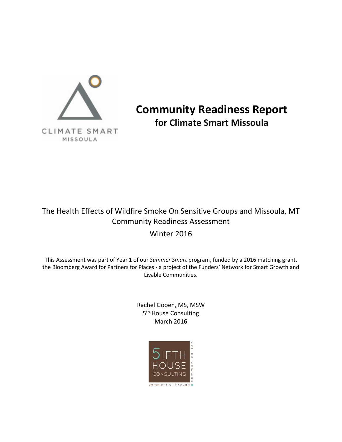

**Community Readiness Report for Climate Smart Missoula**

# The Health Effects of Wildfire Smoke On Sensitive Groups and Missoula, MT Community Readiness Assessment

## Winter 2016

This Assessment was part of Year 1 of our *Summer Smart* program, funded by a 2016 matching grant, the Bloomberg Award for Partners for Places - a project of the Funders' Network for Smart Growth and Livable Communities.

> Rachel Gooen, MS, MSW 5<sup>th</sup> House Consulting March 2016

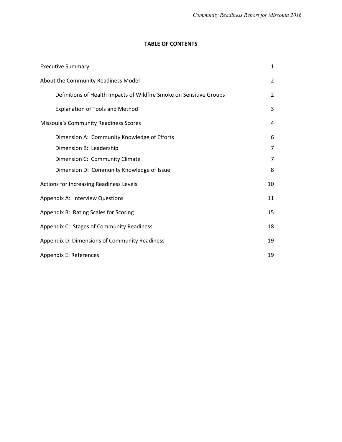## **TABLE OF CONTENTS**

| <b>Executive Summary</b>                                            | $\mathbf{1}$   |  |
|---------------------------------------------------------------------|----------------|--|
| About the Community Readiness Model                                 | $\overline{2}$ |  |
| Definitions of Health Impacts of Wildfire Smoke on Sensitive Groups | $\overline{2}$ |  |
| <b>Explanation of Tools and Method</b>                              | 3              |  |
| Missoula's Community Readiness Scores                               | 4              |  |
| Dimension A: Community Knowledge of Efforts                         | 6              |  |
| Dimension B: Leadership                                             | 7              |  |
| Dimension C: Community Climate                                      |                |  |
| Dimension D: Community Knowledge of Issue                           | 8              |  |
| Actions for Increasing Readiness Levels                             | 10             |  |
| Appendix A: Interview Questions                                     | 11             |  |
| 15<br>Appendix B: Rating Scales for Scoring                         |                |  |
| Appendix C: Stages of Community Readiness                           |                |  |
| Appendix D: Dimensions of Community Readiness                       |                |  |
| 19<br>Appendix E: References                                        |                |  |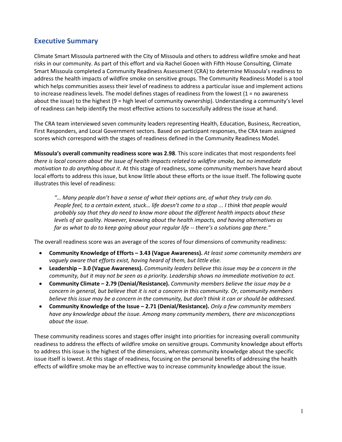## **Executive Summary**

Climate Smart Missoula partnered with the City of Missoula and others to address wildfire smoke and heat risks in our community. As part of this effort and via Rachel Gooen with Fifth House Consulting, Climate Smart Missoula completed a Community Readiness Assessment (CRA) to determine Missoula's readiness to address the health impacts of wildfire smoke on sensitive groups. The Community Readiness Model is a tool which helps communities assess their level of readiness to address a particular issue and implement actions to increase readiness levels. The model defines stages of readiness from the lowest  $(1 = no$  awareness about the issue) to the highest (9 = high level of community ownership). Understanding a community's level of readiness can help identify the most effective actions to successfully address the issue at hand.

The CRA team interviewed seven community leaders representing Health, Education, Business, Recreation, First Responders, and Local Government sectors. Based on participant responses, the CRA team assigned scores which correspond with the stages of readiness defined in the Community Readiness Model.

**Missoula's overall community readiness score was 2.98**. This score indicates that most respondents feel *there is local concern about the issue of health impacts related to wildfire smoke, but no immediate motivation to do anything about it*. At this stage of readiness, some community members have heard about local efforts to address this issue, but know little about these efforts or the issue itself. The following quote illustrates this level of readiness:

*"… Many people don't have a sense of what their options are, of what they truly can do. People feel, to a certain extent, stuck… life doesn't come to a stop ... I think that people would probably say that they do need to know more about the different health impacts about these levels of air quality. However, knowing about the health impacts, and having alternatives as far as what to do to keep going about your regular life -- there's a solutions gap there."*

The overall readiness score was an average of the scores of four dimensions of community readiness:

- **Community Knowledge of Efforts – 3.43 (Vague Awareness).** *At least some community members are vaguely aware that efforts exist, having heard of them, but little else.*
- **Leadership – 3.0 (Vague Awareness).** *Community leaders believe this issue may be a concern in the community, but it may not be seen as a priority. Leadership shows no immediate motivation to act.*
- **Community Climate – 2.79 (Denial/Resistance).** *Community members believe the issue may be a concern in general, but believe that it is not a concern in this community. Or, community members believe this issue may be a concern in the community, but don't think it can or should be addressed.*
- **Community Knowledge of the Issue – 2.71 (Denial/Resistance).** *Only a few community members have any knowledge about the issue. Among many community members, there are misconceptions about the issue.*

These community readiness scores and stages offer insight into priorities for increasing overall community readiness to address the effects of wildfire smoke on sensitive groups. Community knowledge about efforts to address this issue is the highest of the dimensions, whereas community knowledge about the specific issue itself is lowest. At this stage of readiness, focusing on the personal benefits of addressing the health effects of wildfire smoke may be an effective way to increase community knowledge about the issue.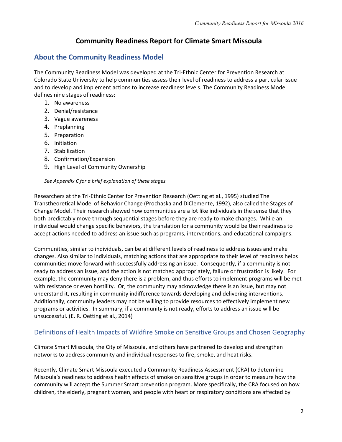## **Community Readiness Report for Climate Smart Missoula**

## **About the Community Readiness Model**

The Community Readiness Model was developed at the Tri-Ethnic Center for Prevention Research at Colorado State University to help communities assess their level of readiness to address a particular issue and to develop and implement actions to increase readiness levels. The Community Readiness Model defines nine stages of readiness:

- 1. No awareness
- 2. Denial/resistance
- 3. Vague awareness
- 4. Preplanning
- 5. Preparation
- 6. Initiation
- 7. Stabilization
- 8. Confirmation/Expansion
- 9. High Level of Community Ownership

*See Appendix C for a brief explanation of these stages.*

Researchers at the Tri-Ethnic Center for Prevention Research (Oetting et al., 1995) studied The Transtheoretical Model of Behavior Change (Prochaska and DiClemente, 1992), also called the Stages of Change Model. Their research showed how communities are a lot like individuals in the sense that they both predictably move through sequential stages before they are ready to make changes. While an individual would change specific behaviors, the translation for a community would be their readiness to accept actions needed to address an issue such as programs, interventions, and educational campaigns.

Communities, similar to individuals, can be at different levels of readiness to address issues and make changes. Also similar to individuals, matching actions that are appropriate to their level of readiness helps communities move forward with successfully addressing an issue. Consequently, if a community is not ready to address an issue, and the action is not matched appropriately, failure or frustration is likely. For example, the community may deny there is a problem, and thus efforts to implement programs will be met with resistance or even hostility. Or, the community may acknowledge there is an issue, but may not understand it, resulting in community indifference towards developing and delivering interventions. Additionally, community leaders may not be willing to provide resources to effectively implement new programs or activities. In summary, if a community is not ready, efforts to address an issue will be unsuccessful. (E. R. Oetting et al., 2014)

## Definitions of Health Impacts of Wildfire Smoke on Sensitive Groups and Chosen Geography

Climate Smart Missoula, the City of Missoula, and others have partnered to develop and strengthen networks to address community and individual responses to fire, smoke, and heat risks.

Recently, Climate Smart Missoula executed a Community Readiness Assessment (CRA) to determine Missoula's readiness to address health effects of smoke on sensitive groups in order to measure how the community will accept the Summer Smart prevention program. More specifically, the CRA focused on how children, the elderly, pregnant women, and people with heart or respiratory conditions are affected by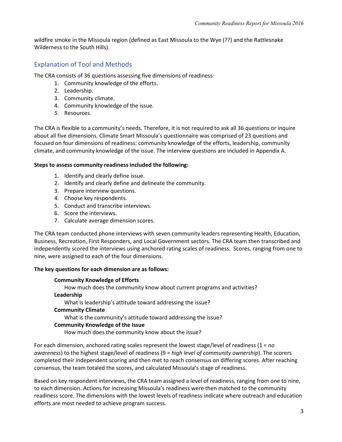wildfire smoke in the Missoula region (defined as East Missoula to the Wye (??) and the Rattlesnake Wilderness to the South Hills).

## Explanation of Tool and Methods

The CRA consists of 36 questions assessing five dimensions of readiness:

- 1. Community knowledge of the efforts.
- 2. Leadership.
- 3. Community climate.
- 4. Community knowledge of the issue.
- *5.* Resources.

The CRA is flexible to a community's needs. Therefore, it is not required to ask all 36 questions or inquire about all five dimensions. Climate Smart Missoula's questionnaire was comprised of 23 questions and focused on four dimensions of readiness: community knowledge of the efforts, leadership, community climate, and community knowledge of the issue. The interview questions are included in Appendix A.

#### **Steps to assess community readiness included the following:**

- 1. Identify and clearly define issue.
- 2. Identify and clearly define and delineate the community.
- 3. Prepare interview questions.
- 4. Choose key respondents.
- 5. Conduct and transcribe interviews.
- 6. Score the interviews.
- 7. Calculate average dimension scores.

The CRA team conducted phone interviews with seven community leaders representing Health, Education, Business, Recreation, First Responders, and Local Government sectors. The CRA team then transcribed and independently scored the interviews using anchored rating scales of readiness. Scores, ranging from one to nine, were assigned to each of the four dimensions.

#### **The key questions for each dimension are as follows:**

#### **Community Knowledge of Efforts**

How much does the community know about current programs and activities?

#### **Leadership**

What is leadership's attitude toward addressing the issue?

#### **Community Climate**

What is the community's attitude toward addressing the issue?

#### **Community Knowledge of the Issue**

How much does the community know about the issue?

For each dimension, anchored rating scales represent the lowest stage/level of readiness (1 = *no awareness*) to the highest stage/level of readiness (9 = *high level of community ownership*). The scorers completed their independent scoring and then met to reach consensus on differing scores. After reaching consensus, the team totaled the scores, and calculated Missoula's stage of readiness.

Based on key respondent interviews, the CRA team assigned a level of readiness, ranging from one to nine, to each dimension. Actions for increasing Missoula's readiness were then matched to the community readiness score. The dimensions with the lowest levels of readiness indicate where outreach and education efforts are most needed to achieve program success.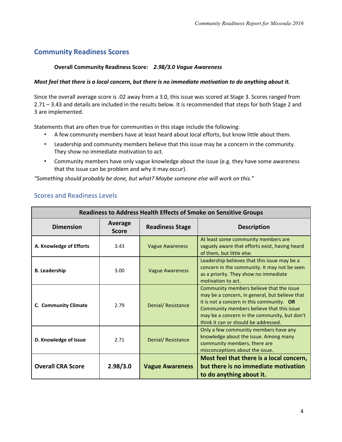## **Community Readiness Scores**

#### **Overall Community Readiness Score:** *2.98/3.0 Vague Awareness*

#### *Most feel that there is a local concern, but there is no immediate motivation to do anything about it.*

Since the overall average score is .02 away from a 3.0, this issue was scored at Stage 3. Scores ranged from 2.71 – 3.43 and details are included in the results below. It is recommended that steps for both Stage 2 and 3 are implemented.

Statements that are often true for communities in this stage include the following:

- A few community members have at least heard about local efforts, but know little about them.
- Leadership and community members believe that this issue may be a concern in the community. They show no immediate motivation to act.
- Community members have only vague knowledge about the issue (e.g. they have some awareness that the issue can be problem and why it may occur).

*"Something should probably be done, but what? Maybe someone else will work on this."*

| <b>Scores and Readiness Levels</b> |  |
|------------------------------------|--|
|                                    |  |

| <b>Readiness to Address Health Effects of Smoke on Sensitive Groups</b> |                                |                        |                                                                                                                                                                                                                                                                                |  |
|-------------------------------------------------------------------------|--------------------------------|------------------------|--------------------------------------------------------------------------------------------------------------------------------------------------------------------------------------------------------------------------------------------------------------------------------|--|
| <b>Dimension</b>                                                        | <b>Average</b><br><b>Score</b> | <b>Readiness Stage</b> | <b>Description</b>                                                                                                                                                                                                                                                             |  |
| A. Knowledge of Efforts                                                 | 3.43                           | <b>Vague Awareness</b> | At least some community members are<br>vaguely aware that efforts exist, having heard<br>of them, but little else.                                                                                                                                                             |  |
| <b>B.</b> Leadership                                                    | 3.00                           | <b>Vague Awareness</b> | Leadership believes that this issue may be a<br>concern in the community. It may not be seen<br>as a priority. They show no immediate<br>motivation to act.                                                                                                                    |  |
| C. Community Climate                                                    | 2.79                           | Denial/Resistance      | Community members believe that the issue<br>may be a concern, in general, but believe that<br>it is not a concern in this community. $OR$<br>Community members believe that this issue<br>may be a concern in the community, but don't<br>think it can or should be addressed. |  |
| D. Knowledge of Issue                                                   | 2.71                           | Denial/Resistance      | Only a few community members have any<br>knowledge about the issue. Among many<br>community members, there are<br>misconceptions about the issue.                                                                                                                              |  |
| <b>Overall CRA Score</b>                                                | 2.98/3.0                       | <b>Vague Awareness</b> | Most feel that there is a local concern,<br>but there is no immediate motivation<br>to do anything about it.                                                                                                                                                                   |  |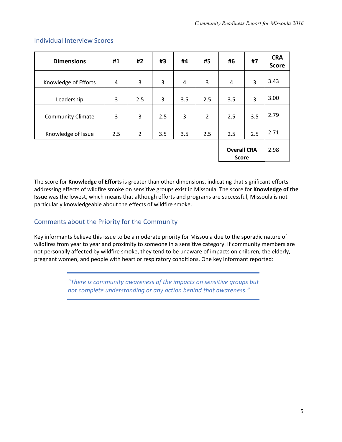| <b>Dimensions</b>        | #1  | #2  | #3  | #4  | #5                                 | #6  | #7   | <b>CRA</b><br><b>Score</b> |
|--------------------------|-----|-----|-----|-----|------------------------------------|-----|------|----------------------------|
| Knowledge of Efforts     | 4   | 3   | 3   | 4   | 3                                  | 4   | 3    | 3.43                       |
| Leadership               | 3   | 2.5 | 3   | 3.5 | 2.5                                | 3.5 | 3    | 3.00                       |
| <b>Community Climate</b> | 3   | 3   | 2.5 | 3   | $\overline{2}$                     | 2.5 | 3.5  | 2.79                       |
| Knowledge of Issue       | 2.5 | 2   | 3.5 | 3.5 | 2.5                                | 2.5 | 2.5  | 2.71                       |
|                          |     |     |     |     | <b>Overall CRA</b><br><b>Score</b> |     | 2.98 |                            |

### Individual Interview Scores

The score for **Knowledge of Efforts** is greater than other dimensions, indicating that significant efforts addressing effects of wildfire smoke on sensitive groups exist in Missoula. The score for **Knowledge of the Issue** was the lowest, which means that although efforts and programs are successful, Missoula is not particularly knowledgeable about the effects of wildfire smoke.

## Comments about the Priority for the Community

Key informants believe this issue to be a moderate priority for Missoula due to the sporadic nature of wildfires from year to year and proximity to someone in a sensitive category. If community members are not personally affected by wildfire smoke, they tend to be unaware of impacts on children, the elderly, pregnant women, and people with heart or respiratory conditions. One key informant reported:

> *"There is community awareness of the impacts on sensitive groups but not complete understanding or any action behind that awareness."*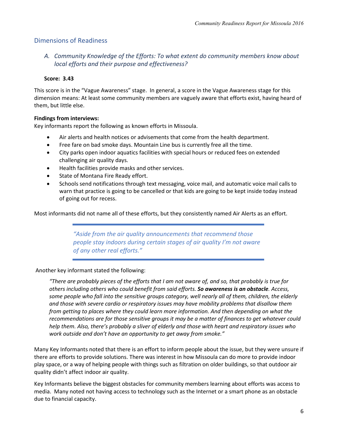### Dimensions of Readiness

*A. Community Knowledge of the Efforts: To what extent do community members know about local efforts and their purpose and effectiveness?*

#### **Score: 3.43**

This score is in the "Vague Awareness" stage. In general, a score in the Vague Awareness stage for this dimension means: At least some community members are vaguely aware that efforts exist, having heard of them, but little else.

#### **Findings from interviews:**

Key informants report the following as known efforts in Missoula.

- Air alerts and health notices or advisements that come from the health department.
- Free fare on bad smoke days. Mountain Line bus is currently free all the time.
- City parks open indoor aquatics facilities with special hours or reduced fees on extended challenging air quality days.
- Health facilities provide masks and other services.
- State of Montana Fire Ready effort.
- Schools send notifications through text messaging, voice mail, and automatic voice mail calls to warn that practice is going to be cancelled or that kids are going to be kept inside today instead of going out for recess.

Most informants did not name all of these efforts, but they consistently named Air Alerts as an effort.

*"Aside from the air quality announcements that recommend those people stay indoors during certain stages of air quality I'm not aware of any other real efforts."*

Another key informant stated the following:

*"There are probably pieces of the efforts that I am not aware of, and so, that probably is true for others including others who could benefit from said efforts. So awareness is an obstacle. Access, some people who fall into the sensitive groups category, well nearly all of them, children, the elderly and those with severe cardio or respiratory issues may have mobility problems that disallow them from getting to places where they could learn more information. And then depending on what the recommendations are for those sensitive groups it may be a matter of finances to get whatever could help them. Also, there's probably a sliver of elderly and those with heart and respiratory issues who work outside and don't have an opportunity to get away from smoke."*

Many Key Informants noted that there is an effort to inform people about the issue, but they were unsure if there are efforts to provide solutions. There was interest in how Missoula can do more to provide indoor play space, or a way of helping people with things such as filtration on older buildings, so that outdoor air quality didn't affect indoor air quality.

Key Informants believe the biggest obstacles for community members learning about efforts was access to media. Many noted not having access to technology such as the Internet or a smart phone as an obstacle due to financial capacity.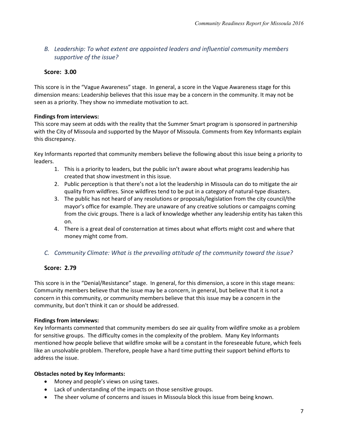## *B. Leadership: To what extent are appointed leaders and influential community members supportive of the issue?*

## **Score: 3.00**

This score is in the "Vague Awareness" stage. In general, a score in the Vague Awareness stage for this dimension means: Leadership believes that this issue may be a concern in the community. It may not be seen as a priority. They show no immediate motivation to act.

### **Findings from interviews:**

This score may seem at odds with the reality that the Summer Smart program is sponsored in partnership with the City of Missoula and supported by the Mayor of Missoula. Comments from Key Informants explain this discrepancy.

Key Informants reported that community members believe the following about this issue being a priority to leaders.

- 1. This is a priority to leaders, but the public isn't aware about what programs leadership has created that show investment in this issue.
- 2. Public perception is that there's not a lot the leadership in Missoula can do to mitigate the air quality from wildfires. Since wildfires tend to be put in a category of natural-type disasters.
- 3. The public has not heard of any resolutions or proposals/legislation from the city council/the mayor's office for example. They are unaware of any creative solutions or campaigns coming from the civic groups. There is a lack of knowledge whether any leadership entity has taken this on.
- 4. There is a great deal of consternation at times about what efforts might cost and where that money might come from.

## *C. Community Climate: What is the prevailing attitude of the community toward the issue?*

## **Score: 2.79**

This score is in the "Denial/Resistance" stage. In general, for this dimension, a score in this stage means: Community members believe that the issue may be a concern, in general, but believe that it is not a concern in this community, or community members believe that this issue may be a concern in the community, but don't think it can or should be addressed.

### **Findings from interviews:**

Key Informants commented that community members do see air quality from wildfire smoke as a problem for sensitive groups. The difficulty comes in the complexity of the problem. Many Key Informants mentioned how people believe that wildfire smoke will be a constant in the foreseeable future, which feels like an unsolvable problem. Therefore, people have a hard time putting their support behind efforts to address the issue.

### **Obstacles noted by Key Informants:**

- Money and people's views on using taxes.
- Lack of understanding of the impacts on those sensitive groups.
- The sheer volume of concerns and issues in Missoula block this issue from being known.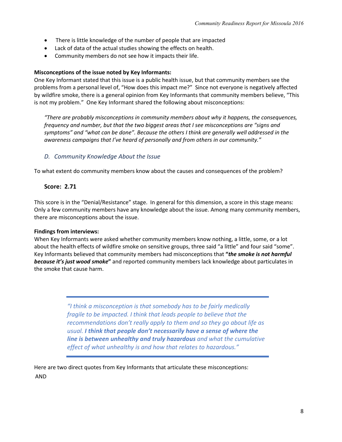- There is little knowledge of the number of people that are impacted
- Lack of data of the actual studies showing the effects on health.
- Community members do not see how it impacts their life.

#### **Misconceptions of the issue noted by Key Informants:**

One Key Informant stated that this issue is a public health issue, but that community members see the problems from a personal level of, "How does this impact me?" Since not everyone is negatively affected by wildfire smoke, there is a general opinion from Key Informants that community members believe, "This is not my problem." One Key Informant shared the following about misconceptions:

*"There are probably misconceptions in community members about why it happens, the consequences, frequency and number, but that the two biggest areas that I see misconceptions are "signs and symptoms" and "what can be done". Because the others I think are generally well addressed in the awareness campaigns that I've heard of personally and from others in our community."*

### *D. Community Knowledge About the Issue*

To what extent do community members know about the causes and consequences of the problem?

### **Score: 2.71**

This score is in the "Denial/Resistance" stage. In general for this dimension, a score in this stage means: Only a few community members have any knowledge about the issue. Among many community members, there are misconceptions about the issue.

### **Findings from interviews:**

When Key Informants were asked whether community members know nothing, a little, some, or a lot about the health effects of wildfire smoke on sensitive groups, three said "a little" and four said "some". Key Informants believed that community members had misconceptions that **"***the smoke is not harmful because it's just wood smoke***"** and reported community members lack knowledge about particulates in the smoke that cause harm.

> *"I think a misconception is that somebody has to be fairly medically fragile to be impacted. I think that leads people to believe that the recommendations don't really apply to them and so they go about life as usual. I think that people don't necessarily have a sense of where the line is between unhealthy and truly hazardous and what the cumulative effect of what unhealthy is and how that relates to hazardous."*

Here are two direct quotes from Key Informants that articulate these misconceptions: AND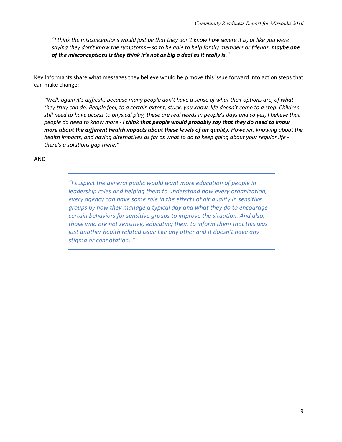*"I think the misconceptions would just be that they don't know how severe it is, or like you were saying they don't know the symptoms – so to be able to help family members or friends, maybe one of the misconceptions is they think it's not as big a deal as it really is."*

Key Informants share what messages they believe would help move this issue forward into action steps that can make change:

*"Well, again it's difficult, because many people don't have a sense of what their options are, of what they truly can do. People feel, to a certain extent, stuck, you know, life doesn't come to a stop. Children still need to have access to physical play, these are real needs in people's days and so yes, I believe that people do need to know more - I think that people would probably say that they do need to know more about the different health impacts about these levels of air quality. However, knowing about the health impacts, and having alternatives as far as what to do to keep going about your regular life there's a solutions gap there."*

#### AND

*"I suspect the general public would want more education of people in leadership roles and helping them to understand how every organization, every agency can have some role in the effects of air quality in sensitive groups by how they manage a typical day and what they do to encourage certain behaviors for sensitive groups to improve the situation. And also, those who are not sensitive, educating them to inform them that this was just another health related issue like any other and it doesn't have any stigma or connotation. "*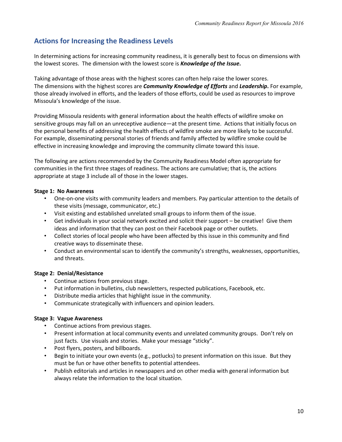## **Actions for Increasing the Readiness Levels**

In determining actions for increasing community readiness, it is generally best to focus on dimensions with the lowest scores. The dimension with the lowest score is *Knowledge of the Issue***.**

Taking advantage of those areas with the highest scores can often help raise the lower scores. The dimensions with the highest scores are *Community Knowledge of Efforts* and *Leadership***.** For example, those already involved in efforts, and the leaders of those efforts, could be used as resources to improve Missoula's knowledge of the issue.

Providing Missoula residents with general information about the health effects of wildfire smoke on sensitive groups may fall on an unreceptive audience—at the present time. Actions that initially focus on the personal benefits of addressing the health effects of wildfire smoke are more likely to be successful. For example, disseminating personal stories of friends and family affected by wildfire smoke could be effective in increasing knowledge and improving the community climate toward this issue.

The following are actions recommended by the Community Readiness Model often appropriate for communities in the first three stages of readiness. The actions are cumulative; that is, the actions appropriate at stage 3 include all of those in the lower stages.

#### **Stage 1: No Awareness**

- One-on-one visits with community leaders and members. Pay particular attention to the details of these visits (message, communicator, etc.)
- Visit existing and established unrelated small groups to inform them of the issue.
- Get individuals in your social network excited and solicit their support be creative! Give them ideas and information that they can post on their Facebook page or other outlets.
- Collect stories of local people who have been affected by this issue in this community and find creative ways to disseminate these.
- Conduct an environmental scan to identify the community's strengths, weaknesses, opportunities, and threats.

#### **Stage 2: Denial/Resistance**

- Continue actions from previous stage.
- Put information in bulletins, club newsletters, respected publications, Facebook, etc.
- Distribute media articles that highlight issue in the community.
- Communicate strategically with influencers and opinion leaders.

#### **Stage 3: Vague Awareness**

- Continue actions from previous stages.
- Present information at local community events and unrelated community groups. Don't rely on just facts. Use visuals and stories. Make your message "sticky".
- Post flyers, posters, and billboards.
- Begin to initiate your own events (e.g., potlucks) to present information on this issue. But they must be fun or have other benefits to potential attendees.
- Publish editorials and articles in newspapers and on other media with general information but always relate the information to the local situation.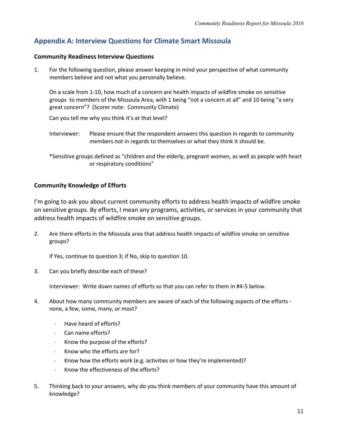## **Appendix A: Interview Questions for Climate Smart Missoula**

#### **Community Readiness Interview Questions**

1. For the following question, please answer keeping in mind your perspective of what community members believe and not what you personally believe.

On a scale from 1-10, how much of a concern are health impacts of wildfire smoke on sensitive groups to members of the Missoula Area, with 1 being "not a concern at all" and 10 being "a very great concern"? (Scorer note: Community Climate)

Can you tell me why you think it's at that level?

- Interviewer: Please ensure that the respondent answers this question in regards to community members not in regards to themselves or what they think it should be.
- \*Sensitive groups defined as "children and the elderly, pregnant women, as well as people with heart or respiratory conditions"

### **Community Knowledge of Efforts**

I'm going to ask you about current community efforts to address health impacts of wildfire smoke on sensitive groups. By efforts, I mean any programs, activities, or services in your community that address health impacts of wildfire smoke on sensitive groups.

2. Are there efforts in the Missoula area that address health impacts of wildfire smoke on sensitive groups?

If Yes, continue to question 3; if No, skip to question 10.

3. Can you briefly describe each of these?

Interviewer: Write down names of efforts so that you can refer to them in #4-5 below.

- 4. About how many community members are aware of each of the following aspects of the efforts none, a few, some, many, or most?
	- · Have heard of efforts?
	- · Can name efforts?
	- Know the purpose of the efforts?
	- · Know who the efforts are for?
	- · Know how the efforts work (e.g. activities or how they're implemented)?
	- · Know the effectiveness of the efforts?
- 5. Thinking back to your answers, why do you think members of your community have this amount of knowledge?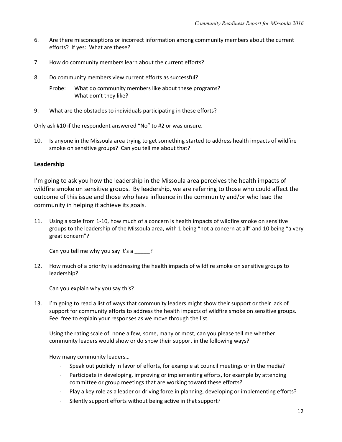- 6. Are there misconceptions or incorrect information among community members about the current efforts? If yes: What are these?
- 7. How do community members learn about the current efforts?
- 8. Do community members view current efforts as successful?
	- Probe: What do community members like about these programs? What don't they like?
- 9. What are the obstacles to individuals participating in these efforts?

Only ask #10 if the respondent answered "No" to #2 or was unsure.

10. Is anyone in the Missoula area trying to get something started to address health impacts of wildfire smoke on sensitive groups? Can you tell me about that?

### **Leadership**

I'm going to ask you how the leadership in the Missoula area perceives the health impacts of wildfire smoke on sensitive groups. By leadership, we are referring to those who could affect the outcome of this issue and those who have influence in the community and/or who lead the community in helping it achieve its goals.

11. Using a scale from 1-10, how much of a concern is health impacts of wildfire smoke on sensitive groups to the leadership of the Missoula area, with 1 being "not a concern at all" and 10 being "a very great concern"?

Can you tell me why you say it's a \_\_\_\_?

12. How much of a priority is addressing the health impacts of wildfire smoke on sensitive groups to leadership?

Can you explain why you say this?

13. I'm going to read a list of ways that community leaders might show their support or their lack of support for community efforts to address the health impacts of wildfire smoke on sensitive groups. Feel free to explain your responses as we move through the list.

Using the rating scale of: none a few, some, many or most, can you please tell me whether community leaders would show or do show their support in the following ways?

How many community leaders…

- · Speak out publicly in favor of efforts, for example at council meetings or in the media?
- · Participate in developing, improving or implementing efforts, for example by attending committee or group meetings that are working toward these efforts?
- · Play a key role as a leader or driving force in planning, developing or implementing efforts?
- Silently support efforts without being active in that support?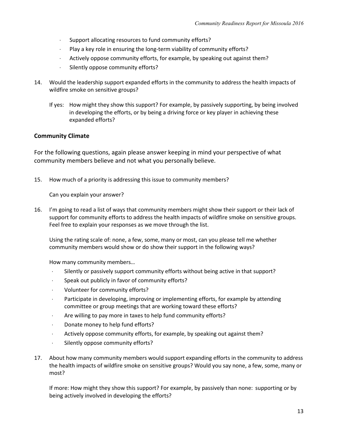- · Support allocating resources to fund community efforts?
- · Play a key role in ensuring the long-term viability of community efforts?
- · Actively oppose community efforts, for example, by speaking out against them?
- · Silently oppose community efforts?
- 14. Would the leadership support expanded efforts in the community to address the health impacts of wildfire smoke on sensitive groups?
	- If yes: How might they show this support? For example, by passively supporting, by being involved in developing the efforts, or by being a driving force or key player in achieving these expanded efforts?

#### **Community Climate**

For the following questions, again please answer keeping in mind your perspective of what community members believe and not what you personally believe.

15. How much of a priority is addressing this issue to community members?

Can you explain your answer?

16. I'm going to read a list of ways that community members might show their support or their lack of support for community efforts to address the health impacts of wildfire smoke on sensitive groups. Feel free to explain your responses as we move through the list.

Using the rating scale of: none, a few, some, many or most, can you please tell me whether community members would show or do show their support in the following ways?

How many community members…

- · Silently or passively support community efforts without being active in that support?
- · Speak out publicly in favor of community efforts?
- · Volunteer for community efforts?
- · Participate in developing, improving or implementing efforts, for example by attending committee or group meetings that are working toward these efforts?
- · Are willing to pay more in taxes to help fund community efforts?
- · Donate money to help fund efforts?
- · Actively oppose community efforts, for example, by speaking out against them?
- · Silently oppose community efforts?
- 17. About how many community members would support expanding efforts in the community to address the health impacts of wildfire smoke on sensitive groups? Would you say none, a few, some, many or most?

If more: How might they show this support? For example, by passively than none: supporting or by being actively involved in developing the efforts?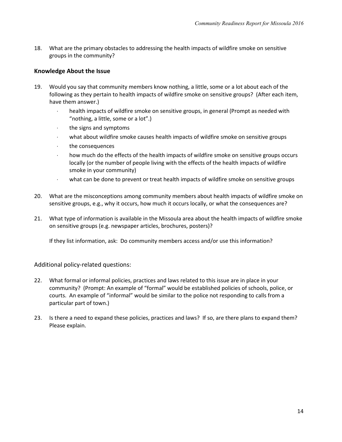18. What are the primary obstacles to addressing the health impacts of wildfire smoke on sensitive groups in the community?

#### **Knowledge About the Issue**

- 19. Would you say that community members know nothing, a little, some or a lot about each of the following as they pertain to health impacts of wildfire smoke on sensitive groups? (After each item, have them answer.)
	- · health impacts of wildfire smoke on sensitive groups, in general (Prompt as needed with "nothing, a little, some or a lot".)
	- · the signs and symptoms
	- · what about wildfire smoke causes health impacts of wildfire smoke on sensitive groups
	- the consequences
	- · how much do the effects of the health impacts of wildfire smoke on sensitive groups occurs locally (or the number of people living with the effects of the health impacts of wildfire smoke in your community)
	- · what can be done to prevent or treat health impacts of wildfire smoke on sensitive groups
- 20. What are the misconceptions among community members about health impacts of wildfire smoke on sensitive groups, e.g., why it occurs, how much it occurs locally, or what the consequences are?
- 21. What type of information is available in the Missoula area about the health impacts of wildfire smoke on sensitive groups (e.g. newspaper articles, brochures, posters)?

If they list information, ask: Do community members access and/or use this information?

Additional policy-related questions:

- 22. What formal or informal policies, practices and laws related to this issue are in place in your community? (Prompt: An example of "formal" would be established policies of schools, police, or courts. An example of "informal" would be similar to the police not responding to calls from a particular part of town.)
- 23. Is there a need to expand these policies, practices and laws? If so, are there plans to expand them? Please explain.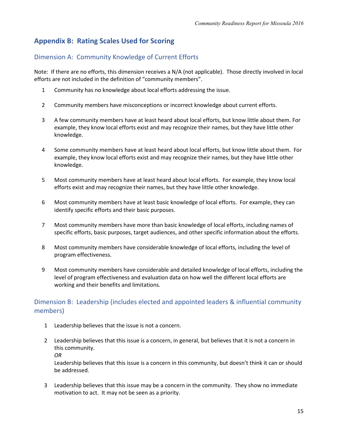## **Appendix B: Rating Scales Used for Scoring**

## Dimension A: Community Knowledge of Current Efforts

Note: If there are no efforts, this dimension receives a N/A (not applicable). Those directly involved in local efforts are not included in the definition of "community members".

- 1 Community has no knowledge about local efforts addressing the issue.
- 2 Community members have misconceptions or incorrect knowledge about current efforts.
- 3 A few community members have at least heard about local efforts, but know little about them. For example, they know local efforts exist and may recognize their names, but they have little other knowledge.
- 4 Some community members have at least heard about local efforts, but know little about them. For example, they know local efforts exist and may recognize their names, but they have little other knowledge.
- 5 Most community members have at least heard about local efforts. For example, they know local efforts exist and may recognize their names, but they have little other knowledge.
- 6 Most community members have at least basic knowledge of local efforts. For example, they can identify specific efforts and their basic purposes.
- 7 Most community members have more than basic knowledge of local efforts, including names of specific efforts, basic purposes, target audiences, and other specific information about the efforts.
- 8 Most community members have considerable knowledge of local efforts, including the level of program effectiveness.
- 9 Most community members have considerable and detailed knowledge of local efforts, including the level of program effectiveness and evaluation data on how well the different local efforts are working and their benefits and limitations.

## Dimension B: Leadership (includes elected and appointed leaders & influential community members)

- 1 Leadership believes that the issue is not a concern.
- 2 Leadership believes that this issue is a concern, in general, but believes that it is not a concern in this community. *OR*

Leadership believes that this issue is a concern in this community, but doesn't think it can or should be addressed.

3 Leadership believes that this issue may be a concern in the community. They show no immediate motivation to act. It may not be seen as a priority.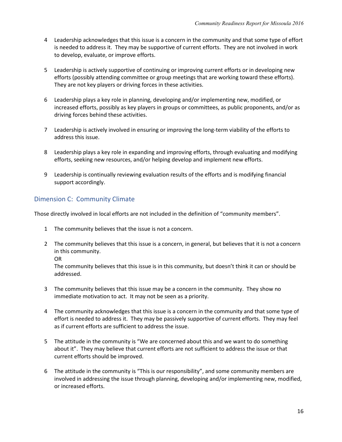- 4 Leadership acknowledges that this issue is a concern in the community and that some type of effort is needed to address it. They may be supportive of current efforts. They are not involved in work to develop, evaluate, or improve efforts.
- 5 Leadership is actively supportive of continuing or improving current efforts or in developing new efforts (possibly attending committee or group meetings that are working toward these efforts). They are not key players or driving forces in these activities.
- 6 Leadership plays a key role in planning, developing and/or implementing new, modified, or increased efforts, possibly as key players in groups or committees, as public proponents, and/or as driving forces behind these activities.
- 7 Leadership is actively involved in ensuring or improving the long-term viability of the efforts to address this issue.
- 8 Leadership plays a key role in expanding and improving efforts, through evaluating and modifying efforts, seeking new resources, and/or helping develop and implement new efforts.
- 9 Leadership is continually reviewing evaluation results of the efforts and is modifying financial support accordingly.

## Dimension C: Community Climate

Those directly involved in local efforts are not included in the definition of "community members".

- 1 The community believes that the issue is not a concern.
- 2 The community believes that this issue is a concern, in general, but believes that it is not a concern in this community.

OR

The community believes that this issue is in this community, but doesn't think it can or should be addressed.

- 3 The community believes that this issue may be a concern in the community. They show no immediate motivation to act. It may not be seen as a priority.
- 4 The community acknowledges that this issue is a concern in the community and that some type of effort is needed to address it. They may be passively supportive of current efforts. They may feel as if current efforts are sufficient to address the issue.
- 5 The attitude in the community is "We are concerned about this and we want to do something about it". They may believe that current efforts are not sufficient to address the issue or that current efforts should be improved.
- 6 The attitude in the community is "This is our responsibility", and some community members are involved in addressing the issue through planning, developing and/or implementing new, modified, or increased efforts.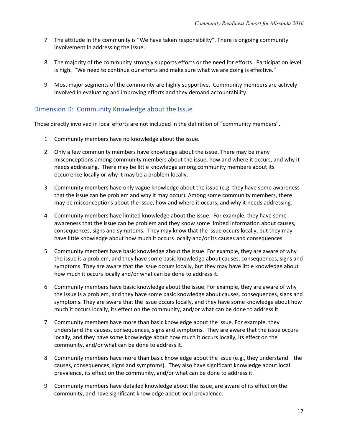- 7 The attitude in the community is "We have taken responsibility". There is ongoing community involvement in addressing the issue.
- 8 The majority of the community strongly supports efforts or the need for efforts. Participation level is high. "We need to continue our efforts and make sure what we are doing is effective."
- 9 Most major segments of the community are highly supportive. Community members are actively involved in evaluating and improving efforts and they demand accountability.

### Dimension D: Community Knowledge about the Issue

Those directly involved in local efforts are not included in the definition of "community members".

- 1 Community members have no knowledge about the issue.
- 2 Only a few community members have knowledge about the issue. There may be many misconceptions among community members about the issue, how and where it occurs, and why it needs addressing. There may be little knowledge among community members about its occurrence locally or why it may be a problem locally.
- 3 Community members have only vague knowledge about the issue (e.g. they have some awareness that the issue can be problem and why it may occur). Among some community members, there may be misconceptions about the issue, how and where it occurs, and why it needs addressing.
- 4 Community members have limited knowledge about the issue. For example, they have some awareness that the issue can be problem and they know some limited information about causes, consequences, signs and symptoms. They may know that the issue occurs locally, but they may have little knowledge about how much it occurs locally and/or its causes and consequences.
- 5 Community members have basic knowledge about the issue. For example, they are aware of why the issue is a problem, and they have some basic knowledge about causes, consequences, signs and symptoms. They are aware that the issue occurs locally, but they may have little knowledge about how much it occurs locally and/or what can be done to address it.
- 6 Community members have basic knowledge about the issue. For example, they are aware of why the issue is a problem, and they have some basic knowledge about causes, consequences, signs and symptoms. They are aware that the issue occurs locally, and they have some knowledge about how much it occurs locally, its effect on the community, and/or what can be done to address it.
- 7 Community members have more than basic knowledge about the issue. For example, they understand the causes, consequences, signs and symptoms. They are aware that the issue occurs locally, and they have some knowledge about how much it occurs locally, its effect on the community, and/or what can be done to address it.
- 8 Community members have more than basic knowledge about the issue (e.g., they understand the causes, consequences, signs and symptoms). They also have significant knowledge about local prevalence, its effect on the community, and/or what can be done to address it.
- 9 Community members have detailed knowledge about the issue, are aware of its effect on the community, and have significant knowledge about local prevalence.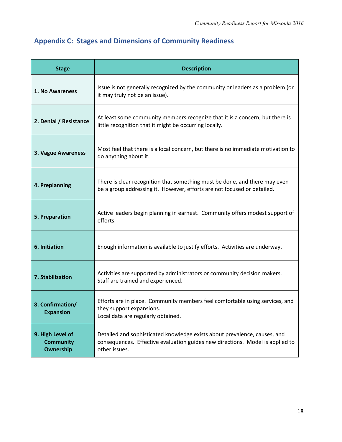# **Appendix C: Stages and Dimensions of Community Readiness**

| <b>Stage</b>                                      | <b>Description</b>                                                                                                                                                          |
|---------------------------------------------------|-----------------------------------------------------------------------------------------------------------------------------------------------------------------------------|
| 1. No Awareness                                   | Issue is not generally recognized by the community or leaders as a problem (or<br>it may truly not be an issue).                                                            |
| 2. Denial / Resistance                            | At least some community members recognize that it is a concern, but there is<br>little recognition that it might be occurring locally.                                      |
| 3. Vague Awareness                                | Most feel that there is a local concern, but there is no immediate motivation to<br>do anything about it.                                                                   |
| 4. Preplanning                                    | There is clear recognition that something must be done, and there may even<br>be a group addressing it. However, efforts are not focused or detailed.                       |
| 5. Preparation                                    | Active leaders begin planning in earnest. Community offers modest support of<br>efforts.                                                                                    |
| 6. Initiation                                     | Enough information is available to justify efforts. Activities are underway.                                                                                                |
| 7. Stabilization                                  | Activities are supported by administrators or community decision makers.<br>Staff are trained and experienced.                                                              |
| 8. Confirmation/<br><b>Expansion</b>              | Efforts are in place. Community members feel comfortable using services, and<br>they support expansions.<br>Local data are regularly obtained.                              |
| 9. High Level of<br><b>Community</b><br>Ownership | Detailed and sophisticated knowledge exists about prevalence, causes, and<br>consequences. Effective evaluation guides new directions. Model is applied to<br>other issues. |